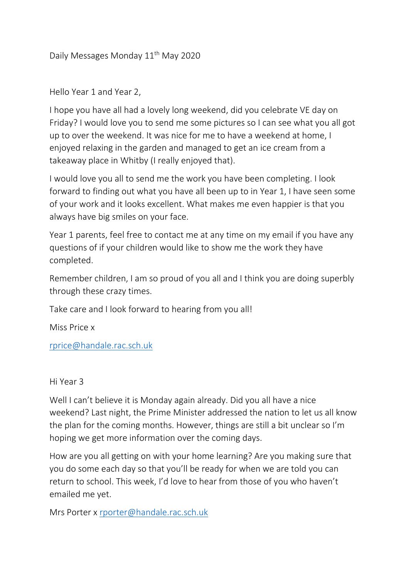Daily Messages Monday 11<sup>th</sup> May 2020

Hello Year 1 and Year 2,

I hope you have all had a lovely long weekend, did you celebrate VE day on Friday? I would love you to send me some pictures so I can see what you all got up to over the weekend. It was nice for me to have a weekend at home, I enjoyed relaxing in the garden and managed to get an ice cream from a takeaway place in Whitby (I really enjoyed that).

I would love you all to send me the work you have been completing. I look forward to finding out what you have all been up to in Year 1, I have seen some of your work and it looks excellent. What makes me even happier is that you always have big smiles on your face.

Year 1 parents, feel free to contact me at any time on my email if you have any questions of if your children would like to show me the work they have completed.

Remember children, I am so proud of you all and I think you are doing superbly through these crazy times.

Take care and I look forward to hearing from you all!

Miss Price x

[rprice@handale.rac.sch.uk](mailto:rprice@handale.rac.sch.uk)

Hi Year 3

Well I can't believe it is Monday again already. Did you all have a nice weekend? Last night, the Prime Minister addressed the nation to let us all know the plan for the coming months. However, things are still a bit unclear so I'm hoping we get more information over the coming days.

How are you all getting on with your home learning? Are you making sure that you do some each day so that you'll be ready for when we are told you can return to school. This week, I'd love to hear from those of you who haven't emailed me yet.

Mrs Porter x [rporter@handale.rac.sch.uk](mailto:rporter@handale.rac.sch.uk)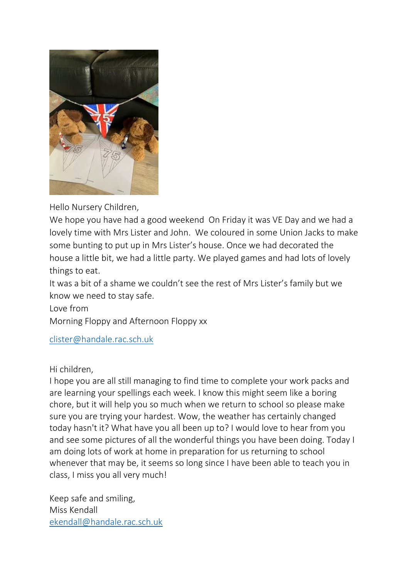

Hello Nursery Children,

We hope you have had a good weekend On Friday it was VE Day and we had a lovely time with Mrs Lister and John. We coloured in some Union Jacks to make some bunting to put up in Mrs Lister's house. Once we had decorated the house a little bit, we had a little party. We played games and had lots of lovely things to eat.

It was a bit of a shame we couldn't see the rest of Mrs Lister's family but we know we need to stay safe.

Love from

Morning Floppy and Afternoon Floppy xx

[clister@handale.rac.sch.uk](mailto:clister@handale.rac.sch.uk)

Hi children,

I hope you are all still managing to find time to complete your work packs and are learning your spellings each week. I know this might seem like a boring chore, but it will help you so much when we return to school so please make sure you are trying your hardest. Wow, the weather has certainly changed today hasn't it? What have you all been up to? I would love to hear from you and see some pictures of all the wonderful things you have been doing. Today I am doing lots of work at home in preparation for us returning to school whenever that may be, it seems so long since I have been able to teach you in class, I miss you all very much!

Keep safe and smiling, Miss Kendall [ekendall@handale.rac.sch.uk](mailto:ekendall@handale.rac.sch.uk)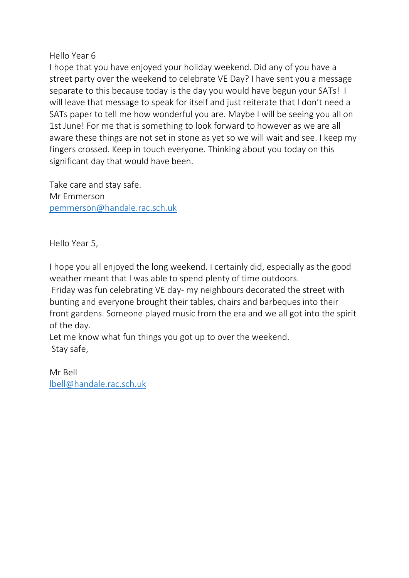Hello Year 6

I hope that you have enjoyed your holiday weekend. Did any of you have a street party over the weekend to celebrate VE Day? I have sent you a message separate to this because today is the day you would have begun your SATs! I will leave that message to speak for itself and just reiterate that I don't need a SATs paper to tell me how wonderful you are. Maybe I will be seeing you all on 1st June! For me that is something to look forward to however as we are all aware these things are not set in stone as yet so we will wait and see. I keep my fingers crossed. Keep in touch everyone. Thinking about you today on this significant day that would have been.

Take care and stay safe. Mr Emmerson [pemmerson@handale.rac.sch.uk](mailto:pemmerson@handale.rac.sch.uk)

Hello Year 5,

I hope you all enjoyed the long weekend. I certainly did, especially as the good weather meant that I was able to spend plenty of time outdoors.

Friday was fun celebrating VE day- my neighbours decorated the street with bunting and everyone brought their tables, chairs and barbeques into their front gardens. Someone played music from the era and we all got into the spirit of the day.

Let me know what fun things you got up to over the weekend. Stay safe,

Mr Bell [lbell@handale.rac.sch.uk](mailto:lbell@handale.rac.sch.uk)